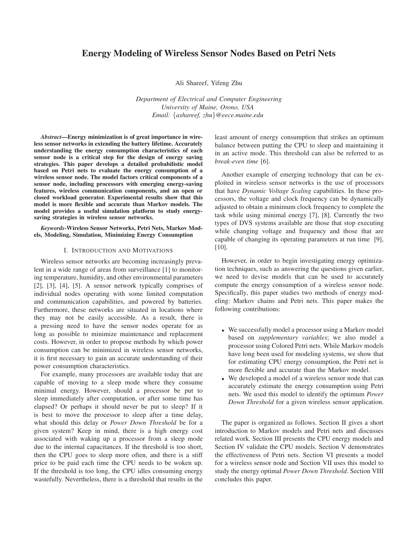# **Energy Modeling of Wireless Sensor Nodes Based on Petri Nets**

Ali Shareef, Yifeng Zhu

*Department of Electrical and Computer Engineering University of Maine, Orono, USA Email: {ashareef, zhu}@eece.maine.edu*

*Abstract***—Energy minimization is of great importance in wireless sensor networks in extending the battery lifetime. Accurately understanding the energy consumption characteristics of each sensor node is a critical step for the design of energy saving strategies. This paper develops a detailed probabilistic model based on Petri nets to evaluate the energy consumption of a wireless sensor node. The model factors critical components of a sensor node, including processors with emerging energy-saving features, wireless communication components, and an open or closed workload generator. Experimental results show that this model is more flexible and accurate than Markov models. The model provides a useful simulation platform to study energysaving strategies in wireless sensor networks.**

*Keywords***-Wireless Sensor Networks, Petri Nets, Markov Models, Modeling, Simulation, Minimizing Energy Consumption**

### I. INTRODUCTION AND MOTIVATIONS

Wireless sensor networks are becoming increasingly prevalent in a wide range of areas from surveillance [1] to monitoring temperature, humidity, and other environmental parameters [2], [3], [4], [5]. A sensor network typically comprises of individual nodes operating with some limited computation and communication capabilities, and powered by batteries. Furthermore, these networks are situated in locations where they may not be easily accessible. As a result, there is a pressing need to have the sensor nodes operate for as long as possible to minimize maintenance and replacement costs. However, in order to propose methods by which power consumption can be minimized in wireless sensor networks, it is first necessary to gain an accurate understanding of their power consumption characteristics.

For example, many processors are available today that are capable of moving to a sleep mode where they consume minimal energy. However, should a processor be put to sleep immediately after computation, or after some time has elapsed? Or perhaps it should never be put to sleep? If it is best to move the processor to sleep after a time delay, what should this delay or *Power Down Threshold* be for a given system? Keep in mind, there is a high energy cost associated with waking up a processor from a sleep mode due to the internal capacitances. If the threshold is too short, then the CPU goes to sleep more often, and there is a stiff price to be paid each time the CPU needs to be woken up. If the threshold is too long, the CPU idles consuming energy wastefully. Nevertheless, there is a threshold that results in the least amount of energy consumption that strikes an optimum balance between putting the CPU to sleep and maintaining it in an active mode. This threshold can also be referred to as *break-even time* [6].

Another example of emerging technology that can be exploited in wireless sensor networks is the use of processors that have *Dynamic Voltage Scaling* capabilities. In these processors, the voltage and clock frequency can be dynamically adjusted to obtain a minimum clock frequency to complete the task while using minimal energy [7], [8]. Currently the two types of DVS systems available are those that stop executing while changing voltage and frequency and those that are capable of changing its operating parameters at run time [9], [10].

However, in order to begin investigating energy optimization techniques, such as answering the questions given earlier, we need to devise models that can be used to accurately compute the energy consumption of a wireless sensor node. Specifically, this paper studies two methods of energy modeling: Markov chains and Petri nets. This paper makes the following contributions:

- *•* We successfully model a processor using a Markov model based on *supplementary variables*; we also model a processor using Colored Petri nets. While Markov models have long been used for modeling systems, we show that for estimating CPU energy consumption, the Petri net is more flexible and accurate than the Markov model.
- *•* We developed a model of a wireless sensor node that can accurately estimate the energy consumption using Petri nets. We used this model to identify the optimum *Power Down Threshold* for a given wireless sensor application.

The paper is organized as follows. Section II gives a short introduction to Markov models and Petri nets and discusses related work. Section III presents the CPU energy models and Section IV validate the CPU models. Section V demonstrates the effectiveness of Petri nets. Section VI presents a model for a wireless sensor node and Section VII uses this model to study the energy optimal *Power Down Threshold*. Section VIII concludes this paper.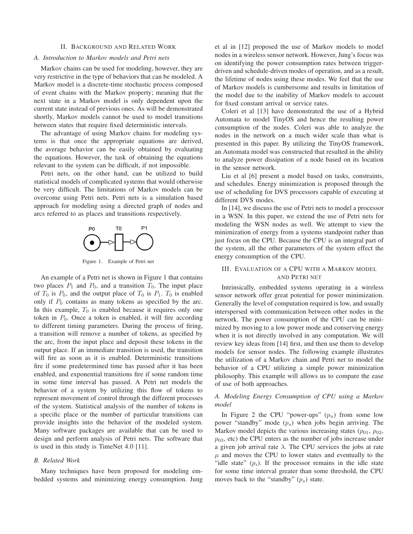### II. BACKGROUND AND RELATED WORK

### *A. Introduction to Markov models and Petri nets*

Markov chains can be used for modeling, however, they are very restrictive in the type of behaviors that can be modeled. A Markov model is a discrete-time stochastic process composed of event chains with the Markov property; meaning that the next state in a Markov model is only dependent upon the current state instead of previous ones. As will be demonstrated shortly, Markov models cannot be used to model transitions between states that require fixed deterministic intervals.

The advantage of using Markov chains for modeling systems is that once the appropriate equations are derived, the average behavior can be easily obtained by evaluating the equations. However, the task of obtaining the equations relevant to the system can be difficult, if not impossible.

Petri nets, on the other hand, can be utilized to build statistical models of complicated systems that would otherwise be very difficult. The limitations of Markov models can be overcome using Petri nets. Petri nets is a simulation based approach for modeling using a directed graph of nodes and arcs referred to as places and transitions respectively.



Figure 1. Example of Petri net

An example of a Petri net is shown in Figure 1 that contains two places  $P_1$  and  $P_0$ , and a transition  $T_0$ . The input place of  $T_0$  is  $P_0$ , and the output place of  $T_0$  is  $P_1$ .  $T_0$  is enabled only if  $P_0$  contains as many tokens as specified by the arc. In this example,  $T_0$  is enabled because it requires only one token in  $P_0$ . Once a token is enabled, it will fire according to different timing parameters. During the process of firing, a transition will remove a number of tokens, as specified by the arc, from the input place and deposit these tokens in the output place. If an immediate transition is used, the transition will fire as soon as it is enabled. Deterministic transitions fire if some predetermined time has passed after it has been enabled, and exponential transitions fire if some random time in some time interval has passed. A Petri net models the behavior of a system by utilizing this flow of tokens to represent movement of control through the different processes of the system. Statistical analysis of the number of tokens in a specific place or the number of particular transitions can provide insights into the behavior of the modeled system. Many software packages are available that can be used to design and perform analysis of Petri nets. The software that is used in this study is TimeNet 4.0 [11].

### *B. Related Work*

Many techniques have been proposed for modeling embedded systems and minimizing energy consumption. Jung et al in [12] proposed the use of Markov models to model nodes in a wireless sensor network. However, Jung's focus was on identifying the power consumption rates between triggerdriven and schedule-driven modes of operation, and as a result, the lifetime of nodes using these modes. We feel that the use of Markov models is cumbersome and results in limitation of the model due to the inability of Markov models to account for fixed constant arrival or service rates.

Coleri et al [13] have demonstrated the use of a Hybrid Automata to model TinyOS and hence the resulting power consumption of the nodes. Coleri was able to analyze the nodes in the network on a much wider scale than what is presented in this paper. By utilizing the TinyOS framework, an Automata model was constructed that resulted in the ability to analyze power dissipation of a node based on its location in the sensor network.

Liu et al [6] present a model based on tasks, constraints, and schedules. Energy minimization is proposed through the use of scheduling for DVS processors capable of executing at different DVS modes.

In [14], we discuss the use of Petri nets to model a processor in a WSN. In this paper, we extend the use of Petri nets for modeling the WSN nodes as well. We attempt to view the minimization of energy from a systems standpoint rather than just focus on the CPU. Because the CPU is an integral part of the system, all the other parameters of the system effect the energy consumption of the CPU.

# III. EVALUATION OF A CPU WITH A MARKOV MODEL AND PETRI NET

Intrinsically, embedded systems operating in a wireless sensor network offer great potential for power minimization. Generally the level of computation required is low, and usually interspersed with communication between other nodes in the network. The power consumption of the CPU can be minimized by moving to a low power mode and conserving energy when it is not directly involved in any computation. We will review key ideas from [14] first, and then use them to develop models for sensor nodes. The following example illustrates the utilization of a Markov chain and Petri net to model the behavior of a CPU utilizing a simple power minimization philosophy. This example will allows us to compare the ease of use of both approaches.

# *A. Modeling Energy Consumption of CPU using a Markov model*

In Figure 2 the CPU "power-ups"  $(p_u)$  from some low power "standby" mode  $(p_s)$  when jobs begin arriving. The Markov model depicts the various increasing states  $(p_{01}, p_{02},$  $p_{03}$ , etc) the CPU enters as the number of jobs increase under a given job arrival rate  $\lambda$ . The CPU services the jobs at rate  $\mu$  and moves the CPU to lower states and eventually to the "idle state"  $(p_i)$ . If the processor remains in the idle state for some time interval greater than some threshold, the CPU moves back to the "standby"  $(p_s)$  state.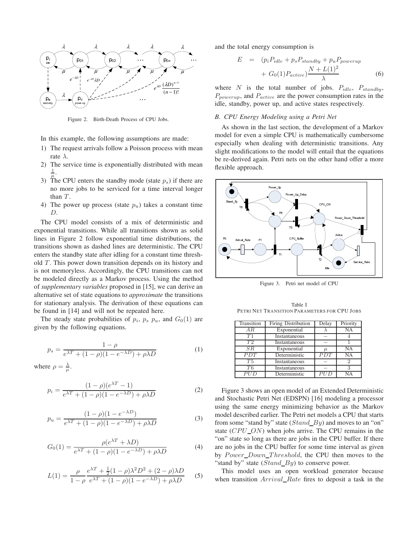

Figure 2. Birth-Death Process of CPU Jobs.

In this example, the following assumptions are made:

- 1) The request arrivals follow a Poisson process with mean rate  $\lambda$ .
- 2) The service time is exponentially distributed with mean  $\frac{1}{\mu}$ .
- 3) The CPU enters the standby mode (state  $p_s$ ) if there are no more jobs to be serviced for a time interval longer than  $T$ .
- 4) The power up process (state  $p_u$ ) takes a constant time D.

The CPU model consists of a mix of deterministic and exponential transitions. While all transitions shown as solid lines in Figure 2 follow exponential time distributions, the transitions shown as dashed lines are deterministic. The CPU enters the standby state after idling for a constant time threshold  $T$ . This power down transition depends on its history and is not memoryless. Accordingly, the CPU transitions can not be modeled directly as a Markov process. Using the method of *supplementary variables* proposed in [15], we can derive an alternative set of state equations to *approximate* the transitions for stationary analysis. The derivation of these equations can be found in [14] and will not be repeated here.

The steady state probabilities of  $p_i$ ,  $p_s$   $p_u$ , and  $G_0(1)$  are given by the following equations.

$$
p_s = \frac{1 - \rho}{e^{\lambda T} + (1 - \rho)(1 - e^{-\lambda D}) + \rho \lambda D} \tag{1}
$$

where  $\rho = \frac{\lambda}{\mu}$ .

$$
p_i = \frac{(1 - \rho)(e^{\lambda T} - 1)}{e^{\lambda T} + (1 - \rho)(1 - e^{-\lambda D}) + \rho \lambda D}
$$
 (2)

$$
p_u = \frac{(1 - \rho)(1 - e^{-\lambda D})}{e^{\lambda T} + (1 - \rho)(1 - e^{-\lambda D}) + \rho \lambda D}
$$
(3)

$$
G_0(1) = \frac{\rho(e^{\lambda T} + \lambda D)}{e^{\lambda T} + (1 - \rho)(1 - e^{-\lambda D}) + \rho \lambda D}
$$
(4)

$$
L(1) = \frac{\rho}{1 - \rho} \frac{e^{\lambda T} + \frac{1}{2}(1 - \rho)\lambda^2 D^2 + (2 - \rho)\lambda D}{e^{\lambda T} + (1 - \rho)(1 - e^{-\lambda D}) + \rho \lambda D}
$$
(5)

and the total energy consumption is

$$
E = (p_i P_{idle} + p_s P_{standby} + p_u P_{powerup} + G_0(1) P_{active}) \frac{N + L(1)^2}{\lambda}
$$
\n(6)

where N is the total number of jobs.  $P_{idle}, P_{standby}$ ,  $P_{powerup}$ , and  $P_{active}$  are the power consumption rates in the idle, standby, power up, and active states respectively.

### *B. CPU Energy Modeling using a Petri Net*

As shown in the last section, the development of a Markov model for even a simple CPU is mathematically cumbersome especially when dealing with deterministic transitions. Any slight modifications to the model will entail that the equations be re-derived again. Petri nets on the other hand offer a more flexible approach.



Figure 3. Petri net model of CPU

Table I PETRI NET TRANSITION PARAMETERS FOR CPU JOBS

| Transition     | Firing Distribution | Delay | Priority  |
|----------------|---------------------|-------|-----------|
| АR             | Exponential         |       | <b>NA</b> |
| T <sup>1</sup> | Instantaneous       |       |           |
| $T$ ?          | Instantaneous       |       |           |
| SR             | Exponential         | μ     | NA        |
| PDT            | Deterministic       | PDT   | <b>NA</b> |
| T5             | Instantaneous       |       | 2         |
| T6             | Instantaneous       |       | २         |
|                | Deterministic       |       | NΔ        |

Figure 3 shows an open model of an Extended Deterministic and Stochastic Petri Net (EDSPN) [16] modeling a processor using the same energy minimizing behavior as the Markov model described earlier. The Petri net models a CPU that starts from some "stand by" state  $(Stand\_By)$  and moves to an "on" state  $(CPU$ <sub>O</sub>N) when jobs arrive. The CPU remains in the "on" state so long as there are jobs in the CPU buffer. If there are no jobs in the CPU buffer for some time interval as given by Power\_Down\_Threshold, the CPU then moves to the "stand by" state  $(Stand_By)$  to conserve power.

This model uses an open workload generator because when transition Arrival Rate fires to deposit a task in the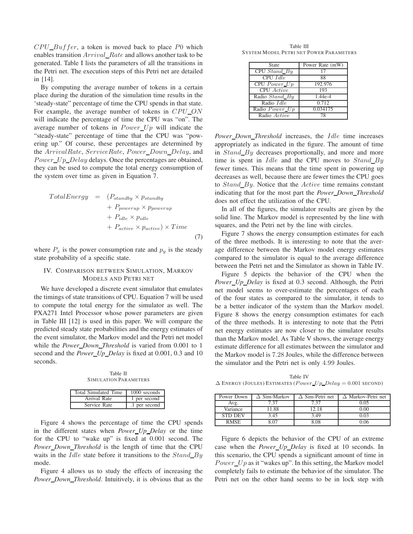$CPU\_Buffer$ , a token is moved back to place  $P0$  which enables transition Arrival Rate and allows another task to be generated. Table I lists the parameters of all the transitions in the Petri net. The execution steps of this Petri net are detailed in [14].

By computing the average number of tokens in a certain place during the duration of the simulation time results in the 'steady-state" percentage of time the CPU spends in that state. For example, the average number of tokens in CPU\_ON will indicate the percentage of time the CPU was "on". The average number of tokens in  $Power\_Up$  will indicate the "steady-state" percentage of time that the CPU was "powering up." Of course, these percentages are determined by the ArrivalRate, ServiceRate, Power\_Down\_Delay, and  $Power\_Up\_Delay$  delays. Once the percentages are obtained, they can be used to compute the total energy consumption of the system over time as given in Equation 7.

$$
TotalEnergy = (P_{standby} \times p_{standby} + P_{powerup} \times p_{powerup} + P_{idle} \times p_{idle} + P_{active} \times p_{active}) \times Time
$$
\n(7)

where  $P_x$  is the power consumption rate and  $p_y$  is the steady state probability of a specific state.

# IV. COMPARISON BETWEEN SIMULATION, MARKOV MODELS AND PETRI NET

We have developed a discrete event simulator that emulates the timings of state transitions of CPU. Equation 7 will be used to compute the total energy for the simulator as well. The PXA271 Intel Processor whose power parameters are given in Table III [12] is used in this paper. We will compare the predicted steady state probabilities and the energy estimates of the event simulator, the Markov model and the Petri net model while the *Power Down Threshold* is varied from 0.001 to 1 second and the *Power\_Up\_Delay* is fixed at 0.001, 0.3 and 10 seconds.

Table II SIMULATION PARAMETERS

| Total Simulated Time | 1000 seconds |
|----------------------|--------------|
| Arrival Rate         | 1 per second |
| Service Rate         | 1 per second |

Figure 4 shows the percentage of time the CPU spends in the different states when *Power Up Delay* or the time for the CPU to "wake up" is fixed at 0.001 second. The *Power Down Threshold* is the length of time that the CPU waits in the Idle state before it transitions to the  $Stand\_By$ mode.

Figure 4 allows us to study the effects of increasing the *Power Down Threshold*. Intuitively, it is obvious that as the

Table III SYSTEM MODEL PETRI NET POWER PARAMETERS

| State              | Power Rate (mW) |
|--------------------|-----------------|
| CPU Stand By       | 17              |
| $CPU$ $Idle$       | 88              |
| CPU Power          | 192.976         |
| <b>CPU</b> Active  | 193             |
| Radio Stand By     | $1.44e-4$       |
| Radio <i>I dle</i> | $\sqrt{0.712}$  |
| Radio Power Up     | 0.034175        |
| Radio Active       | 78              |

*Power Down Threshold* increases, the Idle time increases appropriately as indicated in the figure. The amount of time in *Stand\_By* decreases proportionally, and more and more time is spent in  $I$ dle and the CPU moves to  $Stand$ <sub>D</sub> fewer times. This means that the time spent in powering up decreases as well, because there are fewer times the CPU goes to  $Stand\_By$ . Notice that the  $Active$  time remains constant indicating that for the most part the *Power Down Threshold* does not effect the utilization of the CPU.

In all of the figures, the simulator results are given by the solid line. The Markov model is represented by the line with squares, and the Petri net by the line with circles.

Figure 7 shows the energy consumption estimates for each of the three methods. It is interesting to note that the average difference between the Markov model energy estimates compared to the simulator is equal to the average difference between the Petri net and the Simulator as shown in Table IV.

Figure 5 depicts the behavior of the CPU when the *Power\_Up\_Delay* is fixed at 0.3 second. Although, the Petri net model seems to over-estimate the percentages of each of the four states as compared to the simulator, it tends to be a better indicator of the system than the Markov model. Figure 8 shows the energy consumption estimates for each of the three methods. It is interesting to note that the Petri net energy estimates are now closer to the simulator results than the Markov model. As Table V shows, the average energy estimate difference for all estimates between the simulator and the Markov model is 7.28 Joules, while the difference between the simulator and the Petri net is only 4.99 Joules.

Table IV  $\Delta$  ENERGY (JOULES) ESTIMATES (*Power*  $Up\_Delay = 0.001$  SECOND)

| Power Down     | $\Delta$ Sim-Markov | $\Delta$ Sim-Petri net | $\Delta$ Markov-Petri net |
|----------------|---------------------|------------------------|---------------------------|
| Avg.           | 7.37                | 7.37                   | 0.05                      |
| Variance       | 11.88               | 12.18                  | $0.00\,$                  |
| <b>STD DEV</b> | 3.45                | 3.49                   | 0.03                      |
| <b>RMSE</b>    | : በ7                | 8.O8                   | 06 (                      |

Figure 6 depicts the behavior of the CPU of an extreme case when the *Power Up Delay* is fixed at 10 seconds. In this scenario, the CPU spends a significant amount of time in  $Power\_Up$  as it "wakes up". In this setting, the Markov model completely fails to estimate the behavior of the simulator. The Petri net on the other hand seems to be in lock step with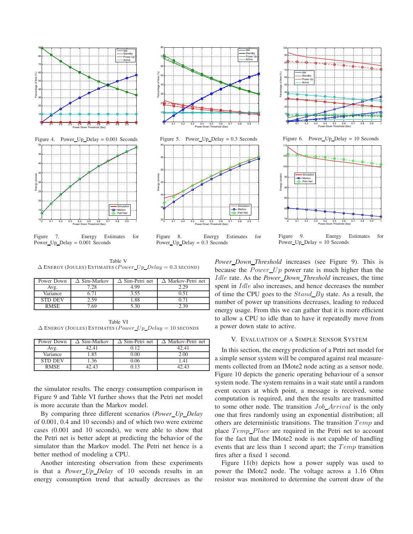



Figure 7. Energy Estimates for Power\_Up\_Delay = 0.001 Seconds





Figure 8. Energy Estimates for Power\_Up\_Delay  $= 0.3$  Seconds



Figure 6. Power\_Up\_Delay = 10 Seconds <sup>0</sup> 0.1 0.2 0.3 0.4 0.5 0.6 0.7 0.8 0.9 <sup>1</sup> <sup>75</sup> 80 85 90 95 100 105 110 Power Down Threshold (Sec) Energy (Joules) Simulation Markov Petri Net

Figure 9. Energy Estimates for  $Power\_Up\_Delay = 10$  Seconds

Table V  $\Delta$  ENERGY (JOULES) ESTIMATES ( $Power\_Up\_Delay = 0.3$  SECOND)

| Power Down     | ∆ Sim-Markov | ∆ Sim-Petri net | $\Delta$ Markov-Petri net |
|----------------|--------------|-----------------|---------------------------|
| Avg.           | 7.28         | 4 QQ            | 29                        |
| Variance       |              | 3.55            |                           |
| <b>STD DEV</b> |              | .88             |                           |
| <b>RMSE</b>    |              |                 |                           |

Table VI  $\Delta$  ENERGY (JOULES) ESTIMATES (*Power*  $Up\_Delay = 10$  SECONDS

| Power Down     | ∆ Sim-Markov | $\Delta$ Sim-Petri net | $\Delta$ Markov-Petri net |
|----------------|--------------|------------------------|---------------------------|
| Avg.           | 2.41         |                        | 24                        |
| Variance       | .85          | 0.00                   | 2.00                      |
| <b>STD DEV</b> |              | 0.06                   |                           |
| <b>RMSE</b>    |              |                        |                           |

the simulator results. The energy consumption comparison in Figure 9 and Table VI further shows that the Petri net model is more accurate than the Markov model.

By comparing three different scenarios (*Power Up Delay* of 0.001, 0.4 and 10 seconds) and of which two were extreme cases (0.001 and 10 seconds), we were able to show that the Petri net is better adept at predicting the behavior of the simulator than the Markov model. The Petri net hence is a better method of modeling a CPU.

Another interesting observation from these experiments is that a *Power\_Up\_Delay* of 10 seconds results in an energy consumption trend that actually decreases as the

*Power\_Down\_Threshold* increases (see Figure 9). This is because the  $Power\_Up$  power rate is much higher than the Idle rate. As the *Power Down Threshold* increases, the time spent in Idle also increases, and hence decreases the number of time the CPU goes to the  $Stand\_By$  state. As a result, the number of power up transitions decreases, leading to reduced energy usage. From this we can gather that it is more efficient to allow a CPU to idle than to have it repeatedly move from a power down state to active.

### V. EVALUATION OF A SIMPLE SENSOR SYSTEM

In this section, the energy prediction of a Petri net model for a simple sensor system will be compared against real measurements collected from an IMote2 node acting as a sensor node. Figure 10 depicts the generic operating behaviour of a sensor system node. The system remains in a wait state until a random event occurs at which point, a message is received, some computation is required, and then the results are transmitted to some other node. The transition  $Job\_Arrival$  is the only one that fires randomly using an exponential distribution; all others are deterministic transitions. The transition  $Temp$  and place Temp\_Place are required in the Petri net to account for the fact that the IMote2 node is not capable of handling events that are less than 1 second apart; the  $Temp$  transition fires after a fixed 1 second.

Figure 11(b) depicts how a power supply was used to power the IMote2 node. The voltage across a 1.16 Ohm resistor was monitored to determine the current draw of the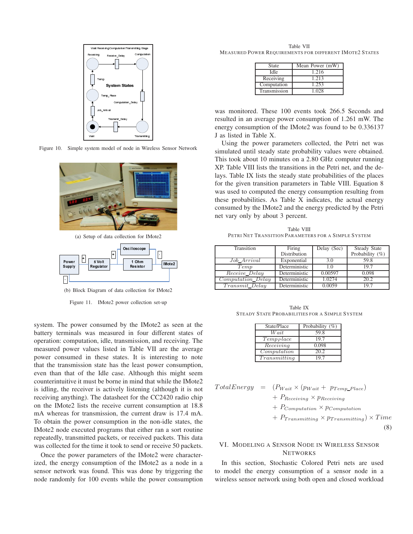

Figure 10. Simple system model of node in Wireless Sensor Network



(a) Setup of data collection for IMote2



(b) Block Diagram of data collection for IMote2

Figure 11. IMote2 power collection set-up

system. The power consumed by the IMote2 as seen at the battery terminals was measured in four different states of operation: computation, idle, transmission, and receiving. The measured power values listed in Table VII are the average power consumed in these states. It is interesting to note that the transmission state has the least power consumption, even than that of the Idle case. Although this might seem counterintuitive it must be borne in mind that while the IMote2 is idling, the receiver is actively listening (although it is not receiving anything). The datasheet for the CC2420 radio chip on the IMote2 lists the receive current consumption at 18.8 mA whereas for transmission, the current draw is 17.4 mA. To obtain the power consumption in the non-idle states, the IMote2 node executed programs that either ran a sort routine repeatedly, transmitted packets, or received packets. This data was collected for the time it took to send or receive 50 packets.

Once the power parameters of the IMote2 were characterized, the energy consumption of the IMote2 as a node in a sensor network was found. This was done by triggering the node randomly for 100 events while the power consumption

Table VII MEASURED POWER REQUIREMENTS FOR DIFFERENT IMOTE2 STATES

| State        | Mean Power (mW) |
|--------------|-----------------|
| Idle         | 1.216           |
| Receiving    | 1.213           |
| Computation  | 1.253           |
| Transmission | 1.028           |

was monitored. These 100 events took 266.5 Seconds and resulted in an average power consumption of 1.261 mW. The energy consumption of the IMote2 was found to be 0.336137 J as listed in Table X.

Using the power parameters collected, the Petri net was simulated until steady state probability values were obtained. This took about 10 minutes on a 2.80 GHz computer running XP. Table VIII lists the transitions in the Petri net, and the delays. Table IX lists the steady state probabilities of the places for the given transition parameters in Table VIII. Equation 8 was used to computed the energy consumption resulting from these probabilities. As Table X indicates, the actual energy consumed by the IMote2 and the energy predicted by the Petri net vary only by about 3 percent.

Table VIII PETRI NET TRANSITION PARAMETERS FOR A SIMPLE SYSTEM

| Transition          | Firing        | Delay (Sec) | <b>Steady State</b> |
|---------------------|---------------|-------------|---------------------|
|                     | Distribution  |             | Probability (%)     |
| Job Arrival         | Exponential   | 3.0         | 59.8                |
| Temp                | Deterministic | 1.0         | 19.7                |
| Receive_Delay       | Deterministic | 0.00597     | 0.098               |
| $Computation$ Delay | Deterministic | 1.0274      | 20.2                |
| $Transmit$ Delay    | Deterministic | 0.0059      | 19.7                |

Table IX STEADY STATE PROBABILITIES FOR A SIMPLE SYSTEM

| State/Place  | Probability $(\%)$ |
|--------------|--------------------|
| Wait         | 59.8               |
| Tempplace    | 19.7               |
| Receiving    | 0.098              |
| Computation  | 20.2               |
| Transmitting | 19.7               |

$$
TotalEnergy = (P_{Wait} \times (p_{Wait} + p_{Temp\_Place})
$$
  
+  $P_{Receiving} \times p_{Reciving}$   
+  $P_{Computation} \times p_{Computation}$   
+  $P_{Transmitting} \times p_{Transmitting} \times \gamma$ 

# (8)

### VI. MODELING A SENSOR NODE IN WIRELESS SENSOR **NETWORKS**

In this section, Stochastic Colored Petri nets are used to model the energy consumption of a sensor node in a wireless sensor network using both open and closed workload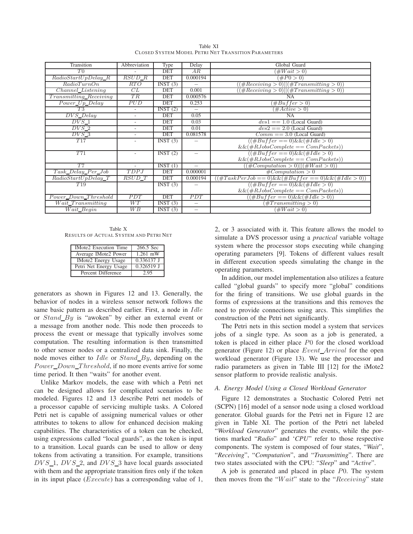Table XI CLOSED SYSTEM MODEL PETRI NET TRANSITION PARAMETERS

| Transition              | Abbreviation             | Type       | Delay                    | Global Guard                                                   |
|-------------------------|--------------------------|------------|--------------------------|----------------------------------------------------------------|
| T <sub>0</sub>          |                          | <b>DET</b> | AR                       | $(\#Wait > 0)$                                                 |
| $RadioStartUpDelay_R$   | RSUD R                   | DET        | 0.000194                 | $(\#P0 > 0)$                                                   |
| RadioTurnOn             | RTO                      | INT (3)    | $\overline{\phantom{m}}$ | $((\#Receiving > 0)  (\#Transmitting > 0))$                    |
| Channel Listening       | CL                       | DET        | 0.001                    | $((\#Receiving > 0)  (\#Transmitting > 0))$                    |
| Transmitting_Receiving  | TR                       | DET        | 0.000576                 | NA                                                             |
| Power_Up_Delay          | PUD                      | DET        | 0.253                    | $(\#Buffer > 0)$                                               |
| T3                      | $\overline{\phantom{a}}$ | INT (2)    |                          | $\#Active > 0$                                                 |
| $DVS\_Delay$            | $\sim$                   | <b>DET</b> | 0.05                     | <b>NA</b>                                                      |
| $DVS_1$                 | $\overline{\phantom{a}}$ | DET        | 0.03                     | $dvs1 == 1.0$ (Local Guard)                                    |
| $DVS$ 2                 | $\overline{\phantom{a}}$ | <b>DET</b> | 0.01                     | $dvs2 == 2.0$ (Local Guard)                                    |
| $DVS$ 3                 | $\overline{\phantom{a}}$ | <b>DET</b> | 0.081578                 | $Comm == 3.0$ (Local Guard)                                    |
| T17                     |                          | INT (3)    |                          | $((\#Buffer == 0) \& \& (\#Idle > 0))$                         |
|                         |                          |            |                          | $\&\&(\#RJobsComplete==ComPackets))$                           |
| T71                     |                          | INT (2)    |                          | $((\#Buffer == 0) \& \& (\#Idle > 0))$                         |
|                         |                          |            |                          | $\&\&(\#RJobsComplete==ComPackets))$                           |
| T7                      | $\overline{\phantom{a}}$ | INT (1)    |                          | $((\#Computation > 0)    (\#Wait > 0))$                        |
| $Task\_Delay\_Per\_Job$ | TDPJ                     | DET        | 0.000001                 | $\#Computation > 0$                                            |
| $RadioStartUpDelay\_T$  | RSUD T                   | DET        | 0.000194                 | $((\#TaskPerJob == 0) \&\& (\#Buffer == 0) \&\& (\#Idle > 0))$ |
| T19                     |                          | INT (3)    |                          | $((\#Buffer == 0) \& \& (\#Idle > 0))$                         |
|                         |                          |            |                          | $\&\&(\#RJobsComplete==ComPackets))$                           |
| Power Down Threshold    | PDT                      | DET        | PDT                      | $((\#Buffer == 0) \& \& (\#Idle > 0))$                         |
| Wait_Transmitting       | WT                       | INST(3)    |                          | $(\#Transmitting > 0)$                                         |
| Wait_Begin              | W B                      | INST(3)    |                          | $(\#Wait > 0)$                                                 |

Table X RESULTS OF ACTUAL SYSTEM AND PETRI NET

| <b>IMote2</b> Execution Time | 266.5 Sec    |
|------------------------------|--------------|
| Average IMote2 Power         | $1.261$ mW   |
| <b>IMote2 Energy Usage</b>   | 0.336137 J   |
| Petri Net Energy Usage       | $0.326519$ J |
| Percent Difference           | 2.95         |

generators as shown in Figures 12 and 13. Generally, the behavior of nodes in a wireless sensor network follows the same basic pattern as described earlier. First, a node in Idle or *Stand\_By* is "awoken" by either an external event or a message from another node. This node then proceeds to process the event or message that typically involves some computation. The resulting information is then transmitted to other sensor nodes or a centralized data sink. Finally, the node moves either to *Idle* or *Stand\_By*, depending on the Power\_Down\_Threshold, if no more events arrive for some time period. It then "waits" for another event.

Unlike Markov models, the ease with which a Petri net can be designed allows for complicated scenarios to be modeled. Figures 12 and 13 describe Petri net models of a processor capable of servicing multiple tasks. A Colored Petri net is capable of assigning numerical values or other attributes to tokens to allow for enhanced decision making capabilities. The characteristics of a token can be checked, using expressions called "local guards", as the token is input to a transition. Local guards can be used to allow or deny tokens from activating a transition. For example, transitions  $DVS_1$ ,  $DVS_2$ , and  $DVS_3$  have local guards associated with them and the appropriate transition fires only if the token in its input place (Execute) has a corresponding value of 1, 2, or 3 associated with it. This feature allows the model to simulate a DVS processor using a *practical* variable voltage system where the processor stops executing while changing operating parameters [9]. Tokens of different values result in different execution speeds simulating the change in the operating parameters.

In addition, our model implementation also utilizes a feature called "global guards" to specify more "global" conditions for the firing of transitions. We use global guards in the forms of expressions at the transitions and this removes the need to provide connections using arcs. This simplifies the construction of the Petri net significantly.

The Petri nets in this section model a system that services jobs of a single type. As soon as a job is generated, a token is placed in either place P0 for the closed workload generator (Figure 12) or place *Event\_Arrival* for the open workload generator (Figure 13). We use the processor and radio parameters as given in Table III [12] for the iMote2 sensor platform to provide realistic analysis.

### *A. Energy Model Using a Closed Workload Generator*

Figure 12 demonstrates a Stochastic Colored Petri net (SCPN) [16] model of a sensor node using a closed workload generator. Global guards for the Petri net in Figure 12 are given in Table XI. The portion of the Petri net labeled "*Workload Generator*" generates the events, while the portions marked "*Radio*" and '*CPU*" refer to those respective components. The system is composed of four states, "*Wait*", "*Receiving*", "*Computation*", and "*Transmitting*". There are two states associated with the CPU: "*Sleep*" and "*Active*".

A job is generated and placed in place  $P0$ . The system then moves from the "Wait" state to the "Receiving" state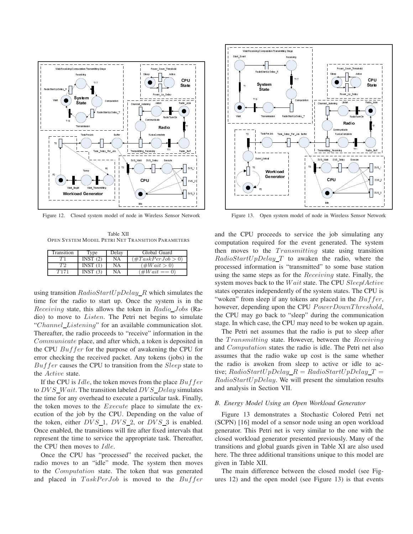

Figure 12. Closed system model of node in Wireless Sensor Network

Table XII OPEN SYSTEM MODEL PETRI NET TRANSITION PARAMETERS

| <b>Transition</b> | Tvpe       | Delay | Global Guard       |
|-------------------|------------|-------|--------------------|
|                   | INT (2)    | NΑ    | $(\#TaskPerJob>0)$ |
| TV                | INT (1)    | NΑ    | $(\#Wait > 0)$     |
| T171              | INST $(3)$ | NA    | $(\#Wait == 0)$    |

using transition  $RadioStartUpDelay\_R$  which simulates the time for the radio to start up. Once the system is in the Receiving state, this allows the token in Radio\_Jobs (Radio) to move to Listen. The Petri net begins to simulate "Channel\_Listening" for an available communication slot. Thereafter, the radio proceeds to "receive" information in the Communicate place, and after which, a token is deposited in the CPU  $But fer$  for the purpose of awakening the CPU for error checking the received packet. Any tokens (jobs) in the  $Buffer$  causes the CPU to transition from the  $Sleep$  state to the Active state.

If the CPU is  $Idle$ , the token moves from the place  $Buffer$ to  $DVS\_Wait$ . The transition labeled  $DVS\_Delay$  simulates the time for any overhead to execute a particular task. Finally, the token moves to the Execute place to simulate the execution of the job by the CPU. Depending on the value of the token, either  $DVS_1$ ,  $DVS_2$ , or  $DVS_3$  is enabled. Once enabled, the transitions will fire after fixed intervals that represent the time to service the appropriate task. Thereafter, the CPU then moves to Idle.

Once the CPU has "processed" the received packet, the radio moves to an "idle" mode. The system then moves to the Computation state. The token that was generated and placed in  $TaskPerJob$  is moved to the  $Buffer$ 



Figure 13. Open system model of node in Wireless Sensor Network

and the CPU proceeds to service the job simulating any computation required for the event generated. The system then moves to the *Transmitting* state using transition  $RadioStartUpDelay_T$  to awaken the radio, where the processed information is "transmitted" to some base station using the same steps as for the Receiving state. Finally, the system moves back to the Wait state. The CPU Sleep/Active states operates independently of the system states. The CPU is "woken" from sleep if any tokens are placed in the  $Buffer$ , however, depending upon the CPU  $PowerDownThreshold$ , the CPU may go back to "sleep" during the communication stage. In which case, the CPU may need to be woken up again.

The Petri net assumes that the radio is put to sleep after the *Transmitting* state. However, between the *Receiving* and Computation states the radio is idle. The Petri net also assumes that the radio wake up cost is the same whether the radio is awoken from sleep to active or idle to active;  $RadioStartUpDelay_R = RadioStartUpDelay_T =$  $RadioStartUpDelay$ . We will present the simulation results and analysis in Section VII.

### *B. Energy Model Using an Open Workload Generator*

Figure 13 demonstrates a Stochastic Colored Petri net (SCPN) [16] model of a sensor node using an open workload generator. This Petri net is very similar to the one with the closed workload generator presented previously. Many of the transitions and global guards given in Table XI are also used here. The three additional transitions unique to this model are given in Table XII.

The main difference between the closed model (see Figures 12) and the open model (see Figure 13) is that events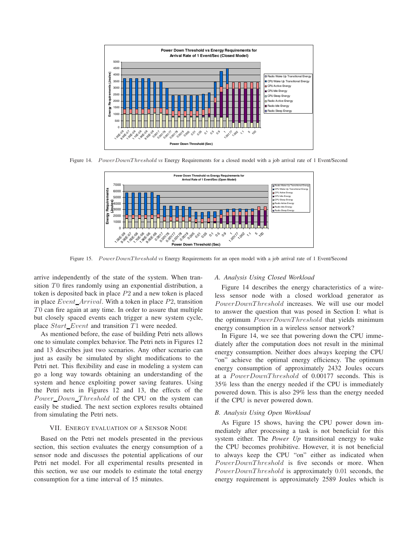

Figure 14. PowerDownThreshold vs Energy Requirements for a closed model with a job arrival rate of 1 Event/Second



Figure 15. PowerDownThreshold vs Energy Requirements for an open model with a job arrival rate of 1 Event/Second

arrive independently of the state of the system. When transition  $T0$  fires randomly using an exponential distribution, a token is deposited back in place P2 and a new token is placed in place  $Event\_Arrival$ . With a token in place  $P2$ , transition  $T<sup>0</sup>$  can fire again at any time. In order to assure that multiple but closely spaced events each trigger a new system cycle, place  $Start\_Event$  and transition  $T1$  were needed.

As mentioned before, the ease of building Petri nets allows one to simulate complex behavior. The Petri nets in Figures 12 and 13 describes just two scenarios. Any other scenario can just as easily be simulated by slight modifications to the Petri net. This flexibility and ease in modeling a system can go a long way towards obtaining an understanding of the system and hence exploiting power saving features. Using the Petri nets in Figures 12 and 13, the effects of the Power Down Threshold of the CPU on the system can easily be studied. The next section explores results obtained from simulating the Petri nets.

### VII. ENERGY EVALUATION OF A SENSOR NODE

Based on the Petri net models presented in the previous section, this section evaluates the energy consumption of a sensor node and discusses the potential applications of our Petri net model. For all experimental results presented in this section, we use our models to estimate the total energy consumption for a time interval of 15 minutes.

### *A. Analysis Using Closed Workload*

Figure 14 describes the energy characteristics of a wireless sensor node with a closed workload generator as PowerDownThreshold increases. We will use our model to answer the question that was posed in Section I: what is the optimum  $PowerDownThreshold$  that yields minimum energy consumption in a wireless sensor network?

In Figure 14, we see that powering down the CPU immediately after the computation does not result in the minimal energy consumption. Neither does always keeping the CPU "on" achieve the optimal energy efficiency. The optimum energy consumption of approximately 2432 Joules occurs at a PowerDownThreshold of 0.00177 seconds. This is 35% less than the energy needed if the CPU is immediately powered down. This is also 29% less than the energy needed if the CPU is never powered down.

### *B. Analysis Using Open Workload*

As Figure 15 shows, having the CPU power down immediately after processing a task is not beneficial for this system either. The *Power Up* transitional energy to wake the CPU becomes prohibitive. However, it is not beneficial to always keep the CPU "on" either as indicated when PowerDownThreshold is five seconds or more. When  $PowerDownThreshold$  is approximately 0.01 seconds, the energy requirement is approximately 2589 Joules which is